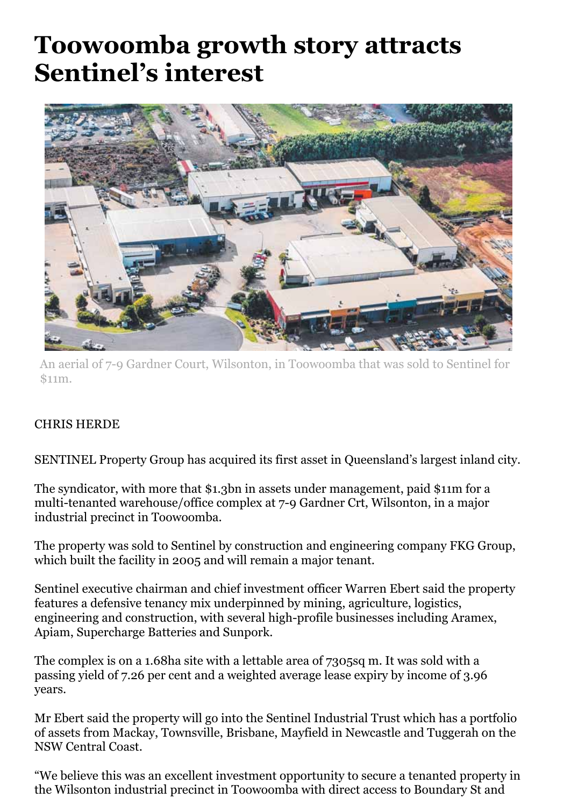## **Toowoomba growth story attracts Sentinel's interest**



An aerial of 7-9 Gardner Court, Wilsonton, in Toowoomba that was sold to Sentinel for \$11m.

## CHRIS HERDE

SENTINEL Property Group has acquired its first asset in Queensland's largest inland city.

The syndicator, with more that \$1.3bn in assets under management, paid \$11m for a multi-tenanted warehouse/office complex at 7-9 Gardner Crt, Wilsonton, in a major industrial precinct in Toowoomba.

The property was sold to Sentinel by construction and engineering company FKG Group, which built the facility in 2005 and will remain a major tenant.

Sentinel executive chairman and chief investment officer Warren Ebert said the property features a defensive tenancy mix underpinned by mining, agriculture, logistics, engineering and construction, with several high-profile businesses including Aramex, Apiam, Supercharge Batteries and Sunpork.

The complex is on a 1.68ha site with a lettable area of 7305sq m. It was sold with a passing yield of 7.26 per cent and a weighted average lease expiry by income of 3.96 years.

Mr Ebert said the property will go into the Sentinel Industrial Trust which has a portfolio of assets from Mackay, Townsville, Brisbane, Mayfield in Newcastle and Tuggerah on the NSW Central Coast.

"We believe this was an excellent investment opportunity to secure a tenanted property in the Wilsonton industrial precinct in Toowoomba with direct access to Boundary St and